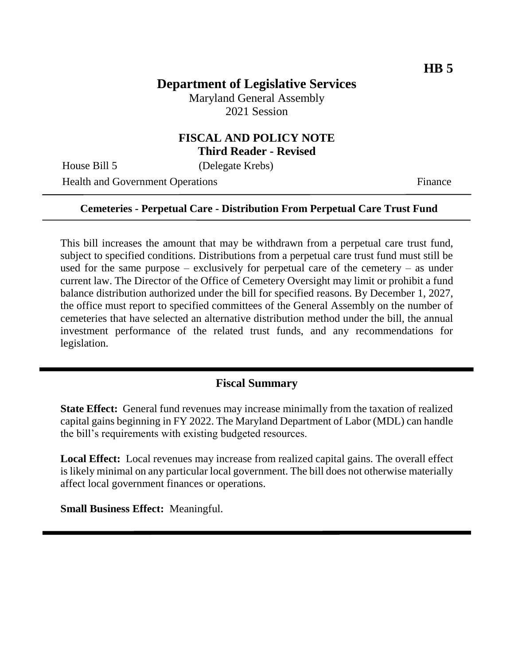## **Department of Legislative Services**

Maryland General Assembly 2021 Session

### **FISCAL AND POLICY NOTE Third Reader - Revised**

House Bill 5 (Delegate Krebs)

Health and Government Operations Finance

#### **Cemeteries - Perpetual Care - Distribution From Perpetual Care Trust Fund**

This bill increases the amount that may be withdrawn from a perpetual care trust fund, subject to specified conditions. Distributions from a perpetual care trust fund must still be used for the same purpose – exclusively for perpetual care of the cemetery – as under current law. The Director of the Office of Cemetery Oversight may limit or prohibit a fund balance distribution authorized under the bill for specified reasons. By December 1, 2027, the office must report to specified committees of the General Assembly on the number of cemeteries that have selected an alternative distribution method under the bill, the annual investment performance of the related trust funds, and any recommendations for legislation.

### **Fiscal Summary**

**State Effect:** General fund revenues may increase minimally from the taxation of realized capital gains beginning in FY 2022. The Maryland Department of Labor (MDL) can handle the bill's requirements with existing budgeted resources.

**Local Effect:** Local revenues may increase from realized capital gains. The overall effect is likely minimal on any particular local government. The bill does not otherwise materially affect local government finances or operations.

**Small Business Effect:** Meaningful.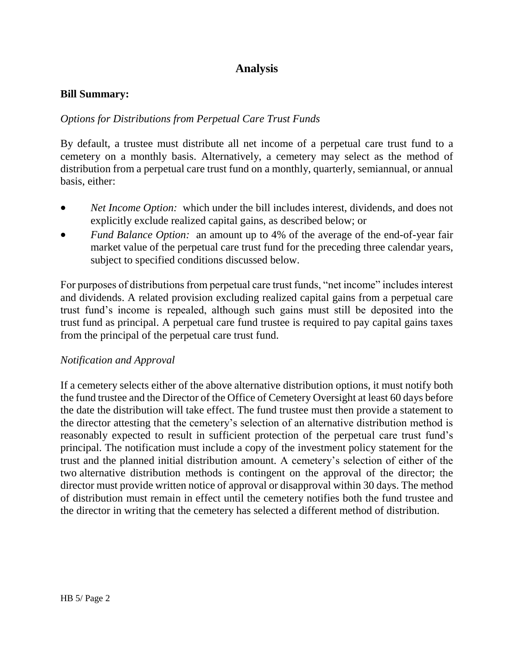# **Analysis**

#### **Bill Summary:**

### *Options for Distributions from Perpetual Care Trust Funds*

By default, a trustee must distribute all net income of a perpetual care trust fund to a cemetery on a monthly basis. Alternatively, a cemetery may select as the method of distribution from a perpetual care trust fund on a monthly, quarterly, semiannual, or annual basis, either:

- *Net Income Option:* which under the bill includes interest, dividends, and does not explicitly exclude realized capital gains, as described below; or
- *Fund Balance Option:* an amount up to 4% of the average of the end-of-year fair market value of the perpetual care trust fund for the preceding three calendar years, subject to specified conditions discussed below.

For purposes of distributions from perpetual care trust funds, "net income" includes interest and dividends. A related provision excluding realized capital gains from a perpetual care trust fund's income is repealed, although such gains must still be deposited into the trust fund as principal. A perpetual care fund trustee is required to pay capital gains taxes from the principal of the perpetual care trust fund.

#### *Notification and Approval*

If a cemetery selects either of the above alternative distribution options, it must notify both the fund trustee and the Director of the Office of Cemetery Oversight at least 60 days before the date the distribution will take effect. The fund trustee must then provide a statement to the director attesting that the cemetery's selection of an alternative distribution method is reasonably expected to result in sufficient protection of the perpetual care trust fund's principal. The notification must include a copy of the investment policy statement for the trust and the planned initial distribution amount. A cemetery's selection of either of the two alternative distribution methods is contingent on the approval of the director; the director must provide written notice of approval or disapproval within 30 days. The method of distribution must remain in effect until the cemetery notifies both the fund trustee and the director in writing that the cemetery has selected a different method of distribution.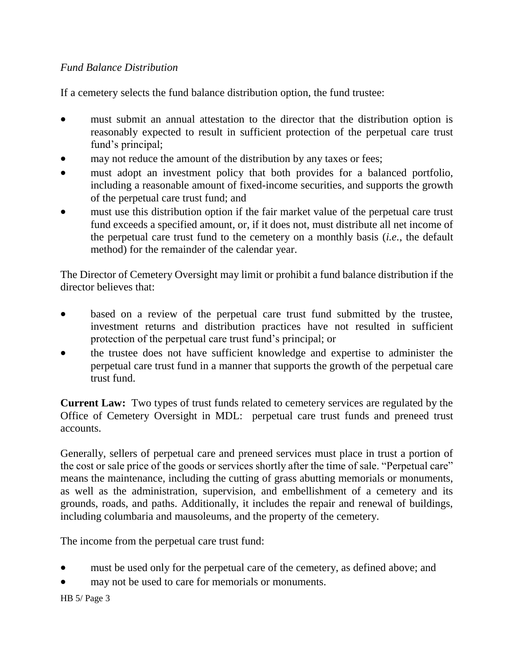### *Fund Balance Distribution*

If a cemetery selects the fund balance distribution option, the fund trustee:

- must submit an annual attestation to the director that the distribution option is reasonably expected to result in sufficient protection of the perpetual care trust fund's principal;
- may not reduce the amount of the distribution by any taxes or fees;
- must adopt an investment policy that both provides for a balanced portfolio, including a reasonable amount of fixed-income securities, and supports the growth of the perpetual care trust fund; and
- must use this distribution option if the fair market value of the perpetual care trust fund exceeds a specified amount, or, if it does not, must distribute all net income of the perpetual care trust fund to the cemetery on a monthly basis (*i.e.*, the default method) for the remainder of the calendar year.

The Director of Cemetery Oversight may limit or prohibit a fund balance distribution if the director believes that:

- based on a review of the perpetual care trust fund submitted by the trustee, investment returns and distribution practices have not resulted in sufficient protection of the perpetual care trust fund's principal; or
- the trustee does not have sufficient knowledge and expertise to administer the perpetual care trust fund in a manner that supports the growth of the perpetual care trust fund.

**Current Law:** Two types of trust funds related to cemetery services are regulated by the Office of Cemetery Oversight in MDL: perpetual care trust funds and preneed trust accounts.

Generally, sellers of perpetual care and preneed services must place in trust a portion of the cost or sale price of the goods or services shortly after the time of sale. "Perpetual care" means the maintenance, including the cutting of grass abutting memorials or monuments, as well as the administration, supervision, and embellishment of a cemetery and its grounds, roads, and paths. Additionally, it includes the repair and renewal of buildings, including columbaria and mausoleums, and the property of the cemetery.

The income from the perpetual care trust fund:

- must be used only for the perpetual care of the cemetery, as defined above; and
- may not be used to care for memorials or monuments.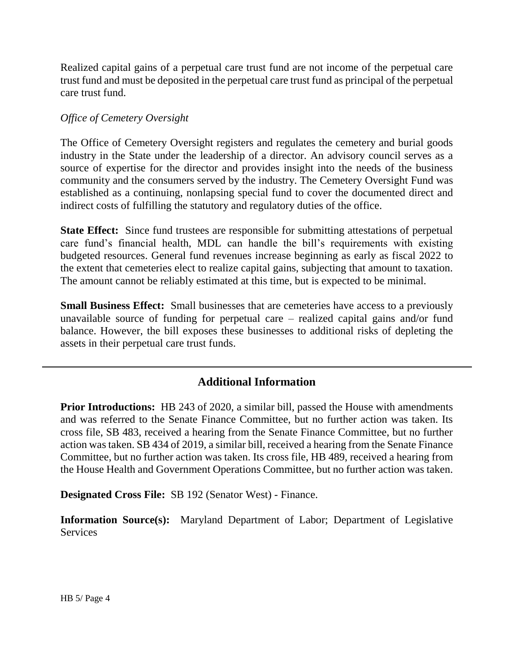Realized capital gains of a perpetual care trust fund are not income of the perpetual care trust fund and must be deposited in the perpetual care trust fund as principal of the perpetual care trust fund.

#### *Office of Cemetery Oversight*

The Office of Cemetery Oversight registers and regulates the cemetery and burial goods industry in the State under the leadership of a director. An advisory council serves as a source of expertise for the director and provides insight into the needs of the business community and the consumers served by the industry. The Cemetery Oversight Fund was established as a continuing, nonlapsing special fund to cover the documented direct and indirect costs of fulfilling the statutory and regulatory duties of the office.

**State Effect:** Since fund trustees are responsible for submitting attestations of perpetual care fund's financial health, MDL can handle the bill's requirements with existing budgeted resources. General fund revenues increase beginning as early as fiscal 2022 to the extent that cemeteries elect to realize capital gains, subjecting that amount to taxation. The amount cannot be reliably estimated at this time, but is expected to be minimal.

**Small Business Effect:** Small businesses that are cemeteries have access to a previously unavailable source of funding for perpetual care – realized capital gains and/or fund balance. However, the bill exposes these businesses to additional risks of depleting the assets in their perpetual care trust funds.

# **Additional Information**

**Prior Introductions:** HB 243 of 2020, a similar bill, passed the House with amendments and was referred to the Senate Finance Committee, but no further action was taken. Its cross file, SB 483, received a hearing from the Senate Finance Committee, but no further action was taken. SB 434 of 2019, a similar bill, received a hearing from the Senate Finance Committee, but no further action was taken. Its cross file, HB 489, received a hearing from the House Health and Government Operations Committee, but no further action was taken.

**Designated Cross File:** SB 192 (Senator West) - Finance.

**Information Source(s):** Maryland Department of Labor; Department of Legislative **Services**